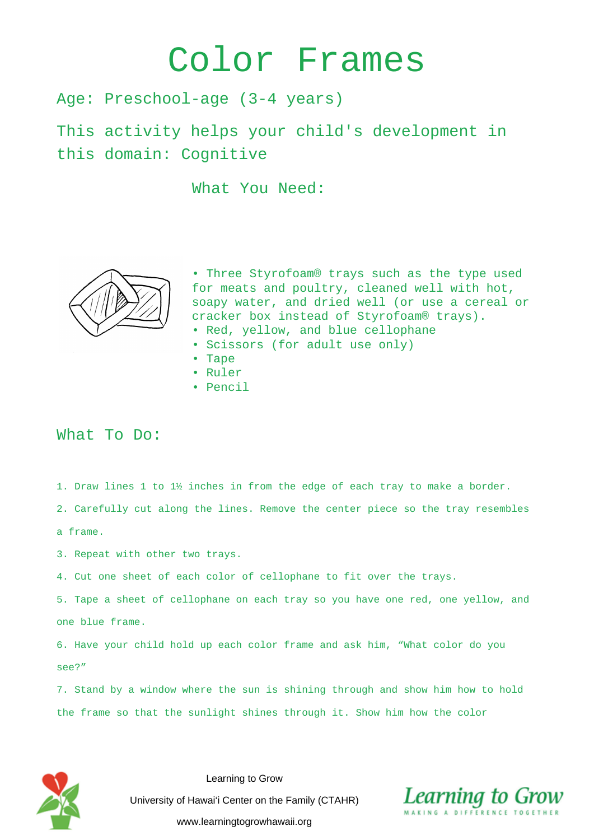## Color Frames

Age: Preschool-age (3-4 years)

This activity helps your child's development in this domain: Cognitive

What You Need:



• Three Styrofoam® trays such as the type used for meats and poultry, cleaned well with hot, soapy water, and dried well (or use a cereal or cracker box instead of Styrofoam® trays).

- Red, yellow, and blue cellophane
- Scissors (for adult use only)
- Tape
- Ruler
- Pencil

## What To Do:

1. Draw lines 1 to 1½ inches in from the edge of each tray to make a border.

2. Carefully cut along the lines. Remove the center piece so the tray resembles

a frame.

- 3. Repeat with other two trays.
- 4. Cut one sheet of each color of cellophane to fit over the trays.

5. Tape a sheet of cellophane on each tray so you have one red, one yellow, and one blue frame.

6. Have your child hold up each color frame and ask him, "What color do you see?"

7. Stand by a window where the sun is shining through and show him how to hold the frame so that the sunlight shines through it. Show him how the color



Learning to Grow University of Hawai'i Center on the Family (CTAHR) www.learningtogrowhawaii.org